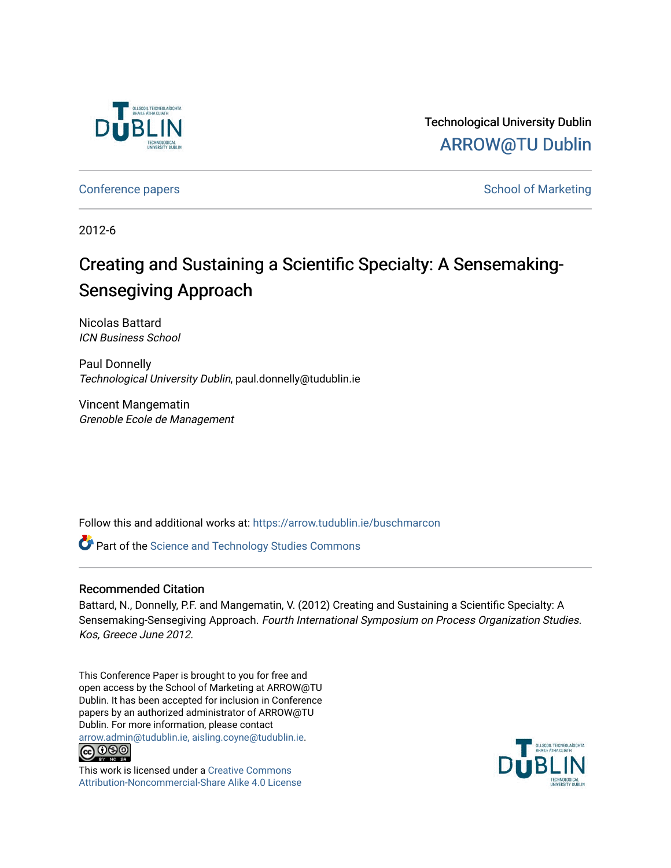

Technological University Dublin [ARROW@TU Dublin](https://arrow.tudublin.ie/) 

[Conference papers](https://arrow.tudublin.ie/buschmarcon) **School of Marketing** Conference papers **School of Marketing** 

2012-6

# Creating and Sustaining a Scientific Specialty: A Sensemaking-Sensegiving Approach

Nicolas Battard ICN Business School

Paul Donnelly Technological University Dublin, paul.donnelly@tudublin.ie

Vincent Mangematin Grenoble Ecole de Management

Follow this and additional works at: [https://arrow.tudublin.ie/buschmarcon](https://arrow.tudublin.ie/buschmarcon?utm_source=arrow.tudublin.ie%2Fbuschmarcon%2F146&utm_medium=PDF&utm_campaign=PDFCoverPages) 

Part of the [Science and Technology Studies Commons](http://network.bepress.com/hgg/discipline/435?utm_source=arrow.tudublin.ie%2Fbuschmarcon%2F146&utm_medium=PDF&utm_campaign=PDFCoverPages)

### Recommended Citation

Battard, N., Donnelly, P.F. and Mangematin, V. (2012) Creating and Sustaining a Scientific Specialty: A Sensemaking-Sensegiving Approach. Fourth International Symposium on Process Organization Studies. Kos, Greece June 2012.

This Conference Paper is brought to you for free and open access by the School of Marketing at ARROW@TU Dublin. It has been accepted for inclusion in Conference papers by an authorized administrator of ARROW@TU Dublin. For more information, please contact [arrow.admin@tudublin.ie, aisling.coyne@tudublin.ie](mailto:arrow.admin@tudublin.ie,%20aisling.coyne@tudublin.ie).



This work is licensed under a [Creative Commons](http://creativecommons.org/licenses/by-nc-sa/4.0/) [Attribution-Noncommercial-Share Alike 4.0 License](http://creativecommons.org/licenses/by-nc-sa/4.0/)

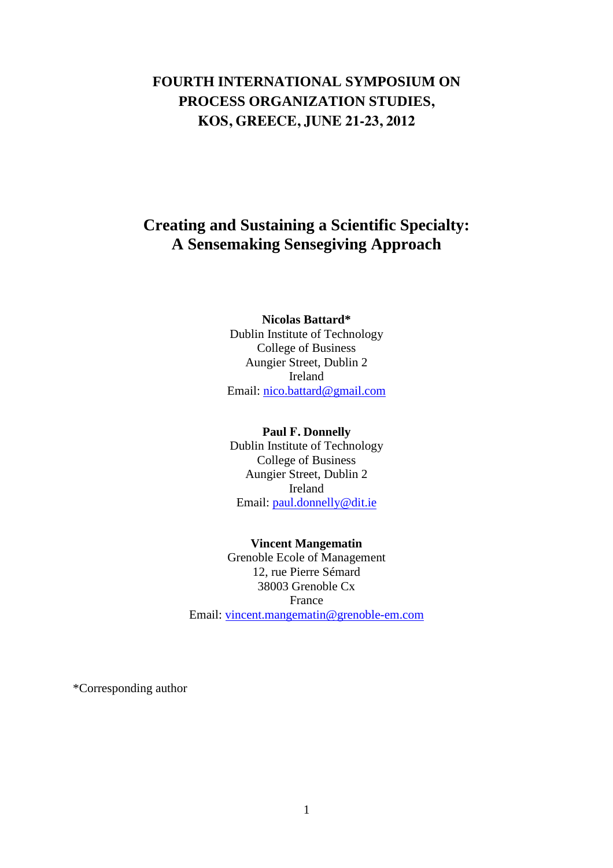# **FOURTH INTERNATIONAL SYMPOSIUM ON PROCESS ORGANIZATION STUDIES, KOS, GREECE, JUNE 21-23, 2012**

# **Creating and Sustaining a Scientific Specialty: A Sensemaking Sensegiving Approach**

### **Nicolas Battard\***  Dublin Institute of Technology College of Business

Aungier Street, Dublin 2 Ireland Email: nico.battard@gmail.com

### **Paul F. Donnelly**

Dublin Institute of Technology College of Business Aungier Street, Dublin 2 Ireland Email: paul.donnelly@dit.ie

**Vincent Mangematin**  Grenoble Ecole of Management 12, rue Pierre Sémard 38003 Grenoble Cx France Email: vincent.mangematin@grenoble-em.com

\*Corresponding author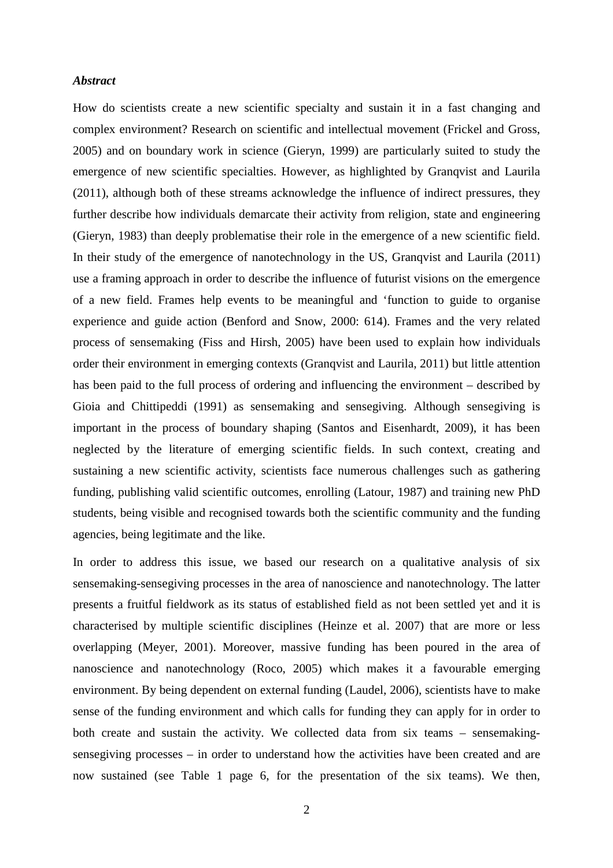### *Abstract*

How do scientists create a new scientific specialty and sustain it in a fast changing and complex environment? Research on scientific and intellectual movement (Frickel and Gross, 2005) and on boundary work in science (Gieryn, 1999) are particularly suited to study the emergence of new scientific specialties. However, as highlighted by Granqvist and Laurila (2011), although both of these streams acknowledge the influence of indirect pressures, they further describe how individuals demarcate their activity from religion, state and engineering (Gieryn, 1983) than deeply problematise their role in the emergence of a new scientific field. In their study of the emergence of nanotechnology in the US, Granqvist and Laurila (2011) use a framing approach in order to describe the influence of futurist visions on the emergence of a new field. Frames help events to be meaningful and 'function to guide to organise experience and guide action (Benford and Snow, 2000: 614). Frames and the very related process of sensemaking (Fiss and Hirsh, 2005) have been used to explain how individuals order their environment in emerging contexts (Granqvist and Laurila, 2011) but little attention has been paid to the full process of ordering and influencing the environment – described by Gioia and Chittipeddi (1991) as sensemaking and sensegiving. Although sensegiving is important in the process of boundary shaping (Santos and Eisenhardt, 2009), it has been neglected by the literature of emerging scientific fields. In such context, creating and sustaining a new scientific activity, scientists face numerous challenges such as gathering funding, publishing valid scientific outcomes, enrolling (Latour, 1987) and training new PhD students, being visible and recognised towards both the scientific community and the funding agencies, being legitimate and the like.

In order to address this issue, we based our research on a qualitative analysis of six sensemaking-sensegiving processes in the area of nanoscience and nanotechnology. The latter presents a fruitful fieldwork as its status of established field as not been settled yet and it is characterised by multiple scientific disciplines (Heinze et al. 2007) that are more or less overlapping (Meyer, 2001). Moreover, massive funding has been poured in the area of nanoscience and nanotechnology (Roco, 2005) which makes it a favourable emerging environment. By being dependent on external funding (Laudel, 2006), scientists have to make sense of the funding environment and which calls for funding they can apply for in order to both create and sustain the activity. We collected data from six teams – sensemakingsensegiving processes – in order to understand how the activities have been created and are now sustained (see Table 1 page 6, for the presentation of the six teams). We then,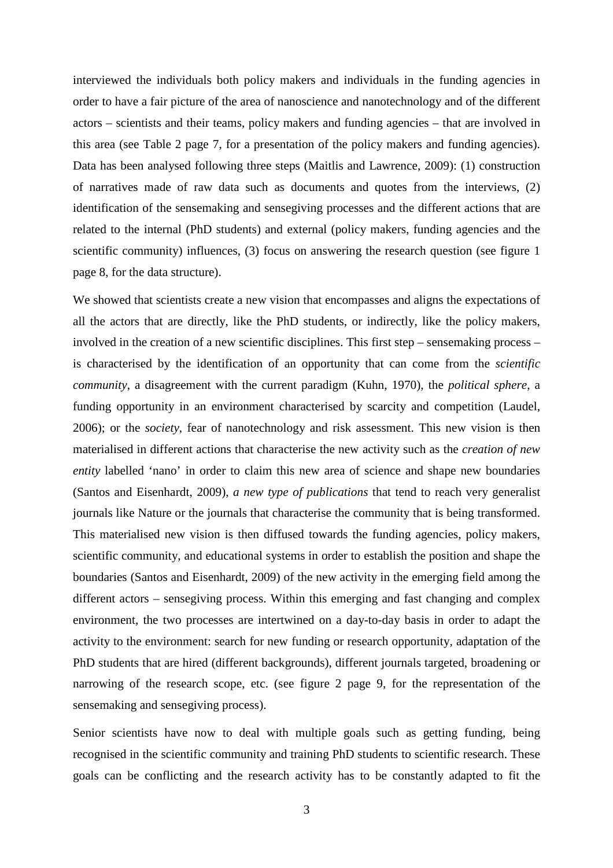interviewed the individuals both policy makers and individuals in the funding agencies in order to have a fair picture of the area of nanoscience and nanotechnology and of the different actors – scientists and their teams, policy makers and funding agencies – that are involved in this area (see Table 2 page 7, for a presentation of the policy makers and funding agencies). Data has been analysed following three steps (Maitlis and Lawrence, 2009): (1) construction of narratives made of raw data such as documents and quotes from the interviews, (2) identification of the sensemaking and sensegiving processes and the different actions that are related to the internal (PhD students) and external (policy makers, funding agencies and the scientific community) influences, (3) focus on answering the research question (see figure 1 page 8, for the data structure).

We showed that scientists create a new vision that encompasses and aligns the expectations of all the actors that are directly, like the PhD students, or indirectly, like the policy makers, involved in the creation of a new scientific disciplines. This first step – sensemaking process – is characterised by the identification of an opportunity that can come from the *scientific community*, a disagreement with the current paradigm (Kuhn, 1970), the *political sphere*, a funding opportunity in an environment characterised by scarcity and competition (Laudel, 2006); or the *society*, fear of nanotechnology and risk assessment. This new vision is then materialised in different actions that characterise the new activity such as the *creation of new entity* labelled 'nano' in order to claim this new area of science and shape new boundaries (Santos and Eisenhardt, 2009), *a new type of publications* that tend to reach very generalist journals like Nature or the journals that characterise the community that is being transformed. This materialised new vision is then diffused towards the funding agencies, policy makers, scientific community, and educational systems in order to establish the position and shape the boundaries (Santos and Eisenhardt, 2009) of the new activity in the emerging field among the different actors – sensegiving process. Within this emerging and fast changing and complex environment, the two processes are intertwined on a day-to-day basis in order to adapt the activity to the environment: search for new funding or research opportunity, adaptation of the PhD students that are hired (different backgrounds), different journals targeted, broadening or narrowing of the research scope, etc. (see figure 2 page 9, for the representation of the sensemaking and sensegiving process).

Senior scientists have now to deal with multiple goals such as getting funding, being recognised in the scientific community and training PhD students to scientific research. These goals can be conflicting and the research activity has to be constantly adapted to fit the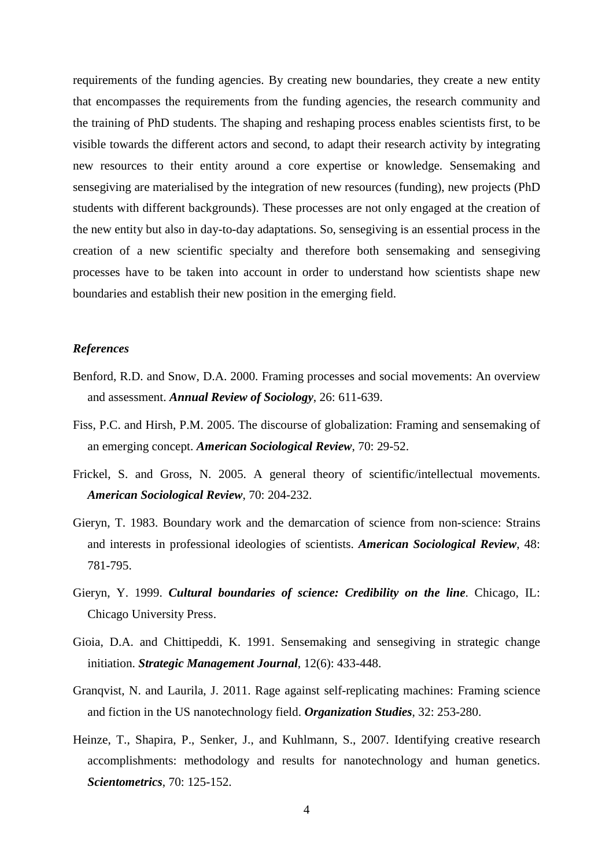requirements of the funding agencies. By creating new boundaries, they create a new entity that encompasses the requirements from the funding agencies, the research community and the training of PhD students. The shaping and reshaping process enables scientists first, to be visible towards the different actors and second, to adapt their research activity by integrating new resources to their entity around a core expertise or knowledge. Sensemaking and sensegiving are materialised by the integration of new resources (funding), new projects (PhD students with different backgrounds). These processes are not only engaged at the creation of the new entity but also in day-to-day adaptations. So, sensegiving is an essential process in the creation of a new scientific specialty and therefore both sensemaking and sensegiving processes have to be taken into account in order to understand how scientists shape new boundaries and establish their new position in the emerging field.

### *References*

- Benford, R.D. and Snow, D.A. 2000. Framing processes and social movements: An overview and assessment. *Annual Review of Sociology*, 26: 611-639.
- Fiss, P.C. and Hirsh, P.M. 2005. The discourse of globalization: Framing and sensemaking of an emerging concept. *American Sociological Review*, 70: 29-52.
- Frickel, S. and Gross, N. 2005. A general theory of scientific/intellectual movements. *American Sociological Review*, 70: 204-232.
- Gieryn, T. 1983. Boundary work and the demarcation of science from non-science: Strains and interests in professional ideologies of scientists. *American Sociological Review*, 48: 781-795.
- Gieryn, Y. 1999. *Cultural boundaries of science: Credibility on the line*. Chicago, IL: Chicago University Press.
- Gioia, D.A. and Chittipeddi, K. 1991. Sensemaking and sensegiving in strategic change initiation. *Strategic Management Journal*, 12(6): 433-448.
- Granqvist, N. and Laurila, J. 2011. Rage against self-replicating machines: Framing science and fiction in the US nanotechnology field. *Organization Studies*, 32: 253-280.
- Heinze, T., Shapira, P., Senker, J., and Kuhlmann, S., 2007. Identifying creative research accomplishments: methodology and results for nanotechnology and human genetics. *Scientometrics*, 70: 125-152.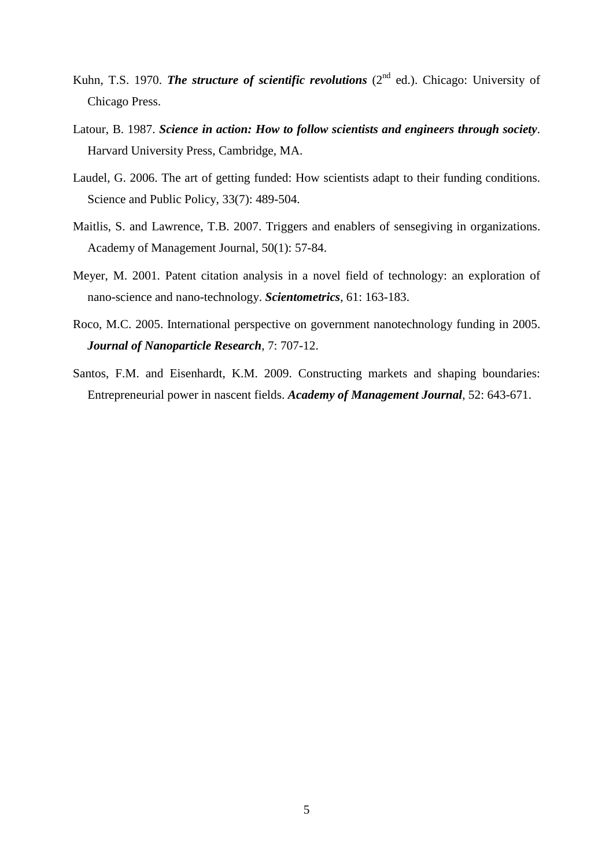- Kuhn, T.S. 1970. *The structure of scientific revolutions* (2<sup>nd</sup> ed.). Chicago: University of Chicago Press.
- Latour, B. 1987. *Science in action: How to follow scientists and engineers through society*. Harvard University Press, Cambridge, MA.
- Laudel, G. 2006. The art of getting funded: How scientists adapt to their funding conditions. Science and Public Policy, 33(7): 489-504.
- Maitlis, S. and Lawrence, T.B. 2007. Triggers and enablers of sensegiving in organizations. Academy of Management Journal, 50(1): 57-84.
- Meyer, M. 2001. Patent citation analysis in a novel field of technology: an exploration of nano-science and nano-technology. *Scientometrics*, 61: 163-183.
- Roco, M.C. 2005. International perspective on government nanotechnology funding in 2005. *Journal of Nanoparticle Research*, 7: 707-12.
- Santos, F.M. and Eisenhardt, K.M. 2009. Constructing markets and shaping boundaries: Entrepreneurial power in nascent fields. *Academy of Management Journal*, 52: 643-671.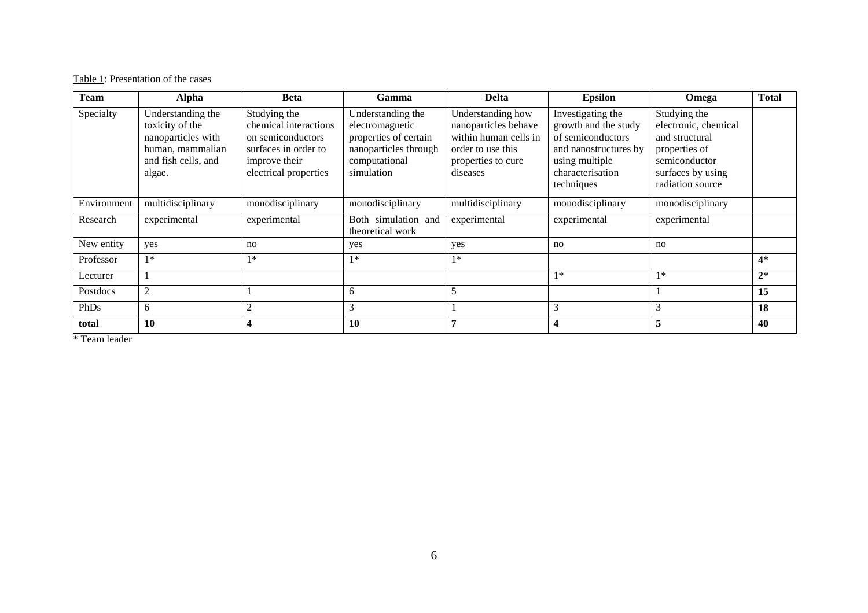Table 1: Presentation of the cases

| <b>Team</b> | <b>Alpha</b>                                                                                                    | <b>Beta</b>                                                                                                                  | Gamma                                                                                                                 | <b>Delta</b>                                                                                                              | <b>Epsilon</b>                                                                                                                              | Omega                                                                                                                             | <b>Total</b> |
|-------------|-----------------------------------------------------------------------------------------------------------------|------------------------------------------------------------------------------------------------------------------------------|-----------------------------------------------------------------------------------------------------------------------|---------------------------------------------------------------------------------------------------------------------------|---------------------------------------------------------------------------------------------------------------------------------------------|-----------------------------------------------------------------------------------------------------------------------------------|--------------|
| Specialty   | Understanding the<br>toxicity of the<br>nanoparticles with<br>human, mammalian<br>and fish cells, and<br>algae. | Studying the<br>chemical interactions<br>on semiconductors<br>surfaces in order to<br>improve their<br>electrical properties | Understanding the<br>electromagnetic<br>properties of certain<br>nanoparticles through<br>computational<br>simulation | Understanding how<br>nanoparticles behave<br>within human cells in<br>order to use this<br>properties to cure<br>diseases | Investigating the<br>growth and the study<br>of semiconductors<br>and nanostructures by<br>using multiple<br>characterisation<br>techniques | Studying the<br>electronic, chemical<br>and structural<br>properties of<br>semiconductor<br>surfaces by using<br>radiation source |              |
| Environment | multidisciplinary                                                                                               | monodisciplinary                                                                                                             | monodisciplinary                                                                                                      | multidisciplinary                                                                                                         | monodisciplinary                                                                                                                            | monodisciplinary                                                                                                                  |              |
| Research    | experimental                                                                                                    | experimental                                                                                                                 | Both simulation and<br>theoretical work                                                                               | experimental                                                                                                              | experimental                                                                                                                                | experimental                                                                                                                      |              |
| New entity  | yes                                                                                                             | no                                                                                                                           | yes                                                                                                                   | yes                                                                                                                       | no                                                                                                                                          | no                                                                                                                                |              |
| Professor   | $1*$                                                                                                            | $1*$                                                                                                                         | $1*$                                                                                                                  | $1*$                                                                                                                      |                                                                                                                                             |                                                                                                                                   | $4*$         |
| Lecturer    |                                                                                                                 |                                                                                                                              |                                                                                                                       |                                                                                                                           | $1*$                                                                                                                                        | $1*$                                                                                                                              | $2^*$        |
| Postdocs    | 2                                                                                                               |                                                                                                                              | 6                                                                                                                     | 5                                                                                                                         |                                                                                                                                             |                                                                                                                                   | 15           |
| PhDs        | 6                                                                                                               | $\overline{2}$                                                                                                               | 3                                                                                                                     |                                                                                                                           | 3                                                                                                                                           | 3                                                                                                                                 | 18           |
| total       | 10                                                                                                              | $\overline{\mathbf{4}}$                                                                                                      | 10                                                                                                                    | 7                                                                                                                         | $\overline{\mathbf{4}}$                                                                                                                     | 5                                                                                                                                 | 40           |

\* Team leader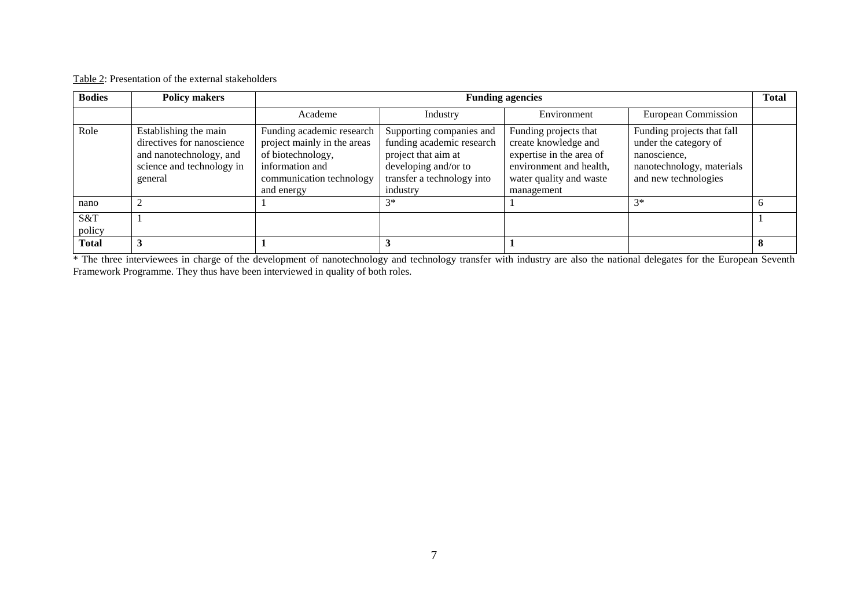| <b>Bodies</b> | <b>Policy makers</b>                                                                                                   | <b>Funding agencies</b>                                                                                                                    |                                                                                                                                                |                                                                                                                                               |                                                                                                                          |   |  |
|---------------|------------------------------------------------------------------------------------------------------------------------|--------------------------------------------------------------------------------------------------------------------------------------------|------------------------------------------------------------------------------------------------------------------------------------------------|-----------------------------------------------------------------------------------------------------------------------------------------------|--------------------------------------------------------------------------------------------------------------------------|---|--|
|               |                                                                                                                        | Academe                                                                                                                                    | Industry                                                                                                                                       | Environment                                                                                                                                   | <b>European Commission</b>                                                                                               |   |  |
| Role          | Establishing the main<br>directives for nanoscience<br>and nanotechnology, and<br>science and technology in<br>general | Funding academic research<br>project mainly in the areas<br>of biotechnology,<br>information and<br>communication technology<br>and energy | Supporting companies and<br>funding academic research<br>project that aim at<br>developing and/or to<br>transfer a technology into<br>industry | Funding projects that<br>create knowledge and<br>expertise in the area of<br>environment and health,<br>water quality and waste<br>management | Funding projects that fall<br>under the category of<br>nanoscience.<br>nanotechnology, materials<br>and new technologies |   |  |
| nano          |                                                                                                                        |                                                                                                                                            | $3*$                                                                                                                                           |                                                                                                                                               | $3*$                                                                                                                     |   |  |
| S&T<br>policy |                                                                                                                        |                                                                                                                                            |                                                                                                                                                |                                                                                                                                               |                                                                                                                          |   |  |
| <b>Total</b>  |                                                                                                                        |                                                                                                                                            |                                                                                                                                                |                                                                                                                                               |                                                                                                                          | 8 |  |

Framework Programme. They thus have been interviewed in quality of both roles.<br>Framework Programme. They thus have been interviewed in quality of both roles.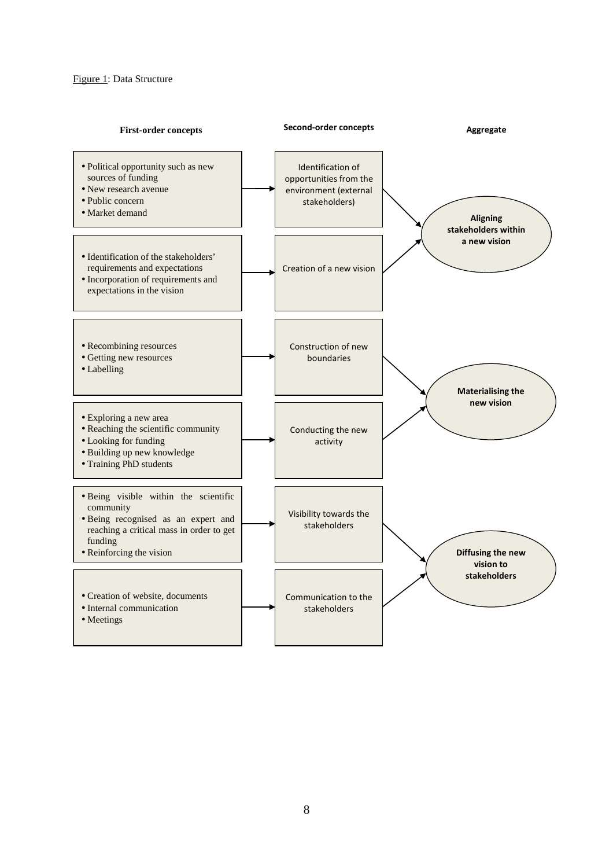#### Figure 1: Data Structure